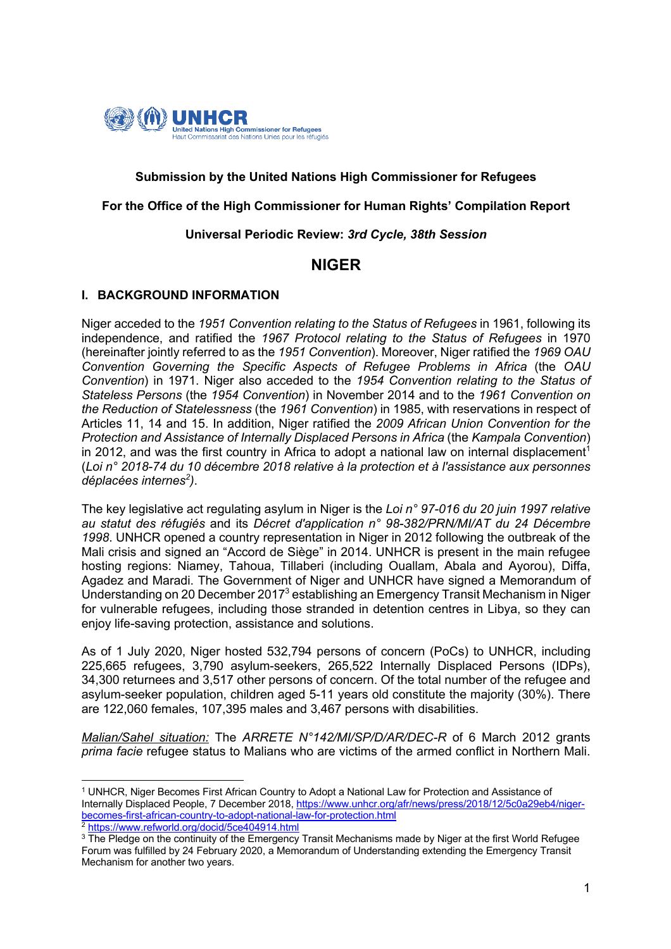

## **Submission by the United Nations High Commissioner for Refugees**

#### **For the Office of the High Commissioner for Human Rights' Compilation Report**

#### **Universal Periodic Review:** *3rd Cycle, 38th Session*

# **NIGER**

### **I. BACKGROUND INFORMATION**

Niger acceded to the *1951 Convention relating to the Status of Refugees* in 1961, following its independence, and ratified the *1967 Protocol relating to the Status of Refugees* in 1970 (hereinafter jointly referred to as the *1951 Convention*). Moreover, Niger ratified the *1969 OAU Convention Governing the Specific Aspects of Refugee Problems in Africa* (the *OAU Convention*) in 1971. Niger also acceded to the *1954 Convention relating to the Status of Stateless Persons* (the *1954 Convention*) in November 2014 and to the *1961 Convention on the Reduction of Statelessness* (the *1961 Convention*) in 1985, with reservations in respect of Articles 11, 14 and 15. In addition, Niger ratified the *2009 African Union Convention for the Protection and Assistance of Internally Displaced Persons in Africa* (the *Kampala Convention*) in 2012, and was the first country in Africa to adopt a national law on internal displacement<sup>1</sup> (*Loi n° 2018-74 du 10 décembre 2018 relative à la protection et à l'assistance aux personnes déplacées internes<sup>2</sup> )*.

The key legislative act regulating asylum in Niger is the *Loi n° 97-016 du 20 juin 1997 relative au statut des réfugiés* and its *Décret d'application n° 98-382/PRN/MI/AT du 24 Décembre 1998*. UNHCR opened a country representation in Niger in 2012 following the outbreak of the Mali crisis and signed an "Accord de Siège" in 2014. UNHCR is present in the main refugee hosting regions: Niamey, Tahoua, Tillaberi (including Ouallam, Abala and Ayorou), Diffa, Agadez and Maradi. The Government of Niger and UNHCR have signed a Memorandum of Understanding on 20 December 20173 establishing an Emergency Transit Mechanism in Niger for vulnerable refugees, including those stranded in detention centres in Libya, so they can enjoy life-saving protection, assistance and solutions.

As of 1 July 2020, Niger hosted 532,794 persons of concern (PoCs) to UNHCR, including 225,665 refugees, 3,790 asylum-seekers, 265,522 Internally Displaced Persons (IDPs), 34,300 returnees and 3,517 other persons of concern. Of the total number of the refugee and asylum-seeker population, children aged 5-11 years old constitute the majority (30%). There are 122,060 females, 107,395 males and 3,467 persons with disabilities.

*Malian/Sahel situation:* The *ARRETE N°142/MI/SP/D/AR/DEC-R* of 6 March 2012 grants *prima facie* refugee status to Malians who are victims of the armed conflict in Northern Mali.

<sup>1</sup> UNHCR, Niger Becomes First African Country to Adopt a National Law for Protection and Assistance of Internally Displaced People, 7 December 2018, https://www.unhcr.org/afr/news/press/2018/12/5c0a29eb4/nigerbecomes-first-african-country-to-adopt-national-law-for-protection.html <sup>2</sup> https://www.refworld.org/docid/5ce404914.html

<sup>&</sup>lt;sup>3</sup> The Pledge on the continuity of the Emergency Transit Mechanisms made by Niger at the first World Refugee Forum was fulfilled by 24 February 2020, a Memorandum of Understanding extending the Emergency Transit Mechanism for another two years.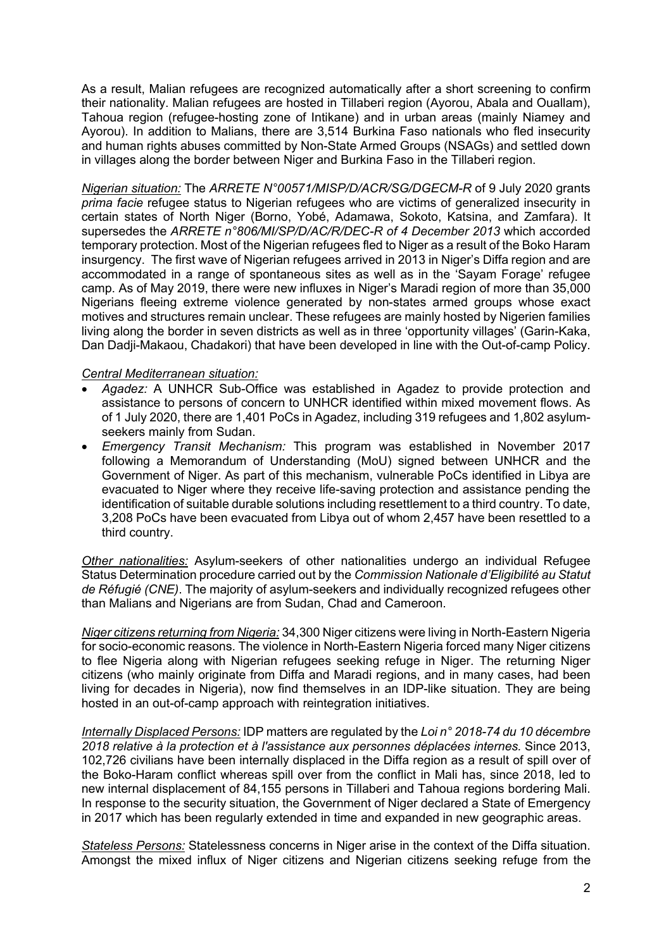As a result, Malian refugees are recognized automatically after a short screening to confirm their nationality. Malian refugees are hosted in Tillaberi region (Ayorou, Abala and Ouallam), Tahoua region (refugee-hosting zone of Intikane) and in urban areas (mainly Niamey and Ayorou). In addition to Malians, there are 3,514 Burkina Faso nationals who fled insecurity and human rights abuses committed by Non-State Armed Groups (NSAGs) and settled down in villages along the border between Niger and Burkina Faso in the Tillaberi region.

*Nigerian situation:* The *ARRETE N°00571/MISP/D/ACR/SG/DGECM-R* of 9 July 2020 grants *prima facie* refugee status to Nigerian refugees who are victims of generalized insecurity in certain states of North Niger (Borno, Yobé, Adamawa, Sokoto, Katsina, and Zamfara). It supersedes the *ARRETE n°806/MI/SP/D/AC/R/DEC-R of 4 December 2013* which accorded temporary protection. Most of the Nigerian refugees fled to Niger as a result of the Boko Haram insurgency. The first wave of Nigerian refugees arrived in 2013 in Niger's Diffa region and are accommodated in a range of spontaneous sites as well as in the 'Sayam Forage' refugee camp. As of May 2019, there were new influxes in Niger's Maradi region of more than 35,000 Nigerians fleeing extreme violence generated by non-states armed groups whose exact motives and structures remain unclear. These refugees are mainly hosted by Nigerien families living along the border in seven districts as well as in three 'opportunity villages' (Garin-Kaka, Dan Dadji-Makaou, Chadakori) that have been developed in line with the Out-of-camp Policy.

#### *Central Mediterranean situation:*

- *Agadez:* A UNHCR Sub-Office was established in Agadez to provide protection and assistance to persons of concern to UNHCR identified within mixed movement flows. As of 1 July 2020, there are 1,401 PoCs in Agadez, including 319 refugees and 1,802 asylumseekers mainly from Sudan.
- *Emergency Transit Mechanism:* This program was established in November 2017 following a Memorandum of Understanding (MoU) signed between UNHCR and the Government of Niger. As part of this mechanism, vulnerable PoCs identified in Libya are evacuated to Niger where they receive life-saving protection and assistance pending the identification of suitable durable solutions including resettlement to a third country. To date, 3,208 PoCs have been evacuated from Libya out of whom 2,457 have been resettled to a third country.

*Other nationalities:* Asylum-seekers of other nationalities undergo an individual Refugee Status Determination procedure carried out by the *Commission Nationale d'Eligibilité au Statut de Réfugié (CNE)*. The majority of asylum-seekers and individually recognized refugees other than Malians and Nigerians are from Sudan, Chad and Cameroon.

*Niger citizens returning from Nigeria:* 34,300 Niger citizens were living in North-Eastern Nigeria for socio-economic reasons. The violence in North-Eastern Nigeria forced many Niger citizens to flee Nigeria along with Nigerian refugees seeking refuge in Niger. The returning Niger citizens (who mainly originate from Diffa and Maradi regions, and in many cases, had been living for decades in Nigeria), now find themselves in an IDP-like situation. They are being hosted in an out-of-camp approach with reintegration initiatives.

*Internally Displaced Persons:* IDP matters are regulated by the *Loi n° 2018-74 du 10 décembre 2018 relative à la protection et à l'assistance aux personnes déplacées internes.* Since 2013, 102,726 civilians have been internally displaced in the Diffa region as a result of spill over of the Boko-Haram conflict whereas spill over from the conflict in Mali has, since 2018, led to new internal displacement of 84,155 persons in Tillaberi and Tahoua regions bordering Mali. In response to the security situation, the Government of Niger declared a State of Emergency in 2017 which has been regularly extended in time and expanded in new geographic areas.

*Stateless Persons:* Statelessness concerns in Niger arise in the context of the Diffa situation. Amongst the mixed influx of Niger citizens and Nigerian citizens seeking refuge from the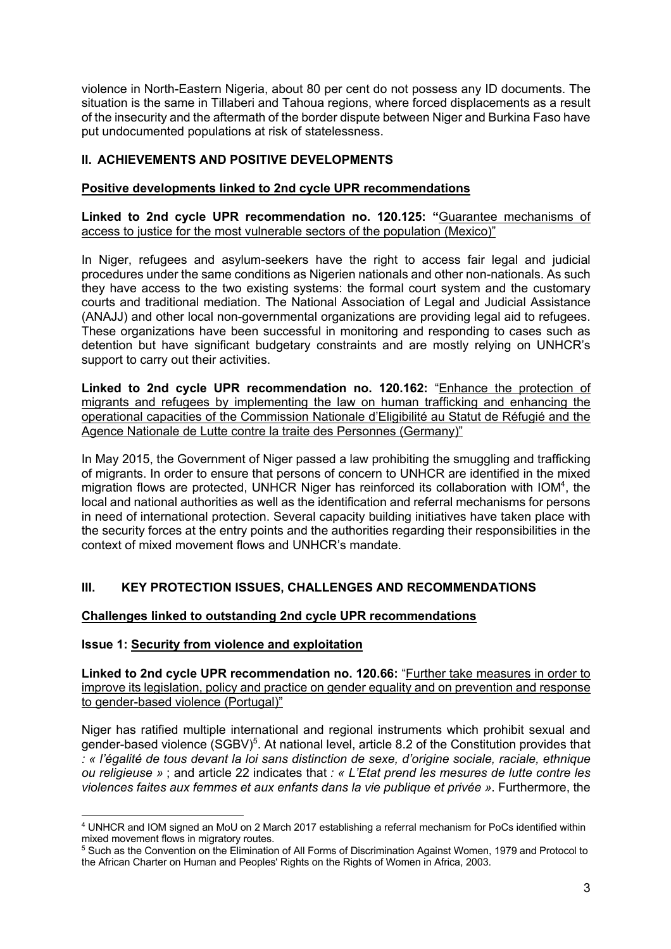violence in North-Eastern Nigeria, about 80 per cent do not possess any ID documents. The situation is the same in Tillaberi and Tahoua regions, where forced displacements as a result of the insecurity and the aftermath of the border dispute between Niger and Burkina Faso have put undocumented populations at risk of statelessness.

# **II. ACHIEVEMENTS AND POSITIVE DEVELOPMENTS**

## **Positive developments linked to 2nd cycle UPR recommendations**

**Linked to 2nd cycle UPR recommendation no. 120.125: "**Guarantee mechanisms of access to justice for the most vulnerable sectors of the population (Mexico)"

In Niger, refugees and asylum-seekers have the right to access fair legal and judicial procedures under the same conditions as Nigerien nationals and other non-nationals. As such they have access to the two existing systems: the formal court system and the customary courts and traditional mediation. The National Association of Legal and Judicial Assistance (ANAJJ) and other local non-governmental organizations are providing legal aid to refugees. These organizations have been successful in monitoring and responding to cases such as detention but have significant budgetary constraints and are mostly relying on UNHCR's support to carry out their activities.

**Linked to 2nd cycle UPR recommendation no. 120.162:** "Enhance the protection of migrants and refugees by implementing the law on human trafficking and enhancing the operational capacities of the Commission Nationale d'Eligibilité au Statut de Réfugié and the Agence Nationale de Lutte contre la traite des Personnes (Germany)"

In May 2015, the Government of Niger passed a law prohibiting the smuggling and trafficking of migrants. In order to ensure that persons of concern to UNHCR are identified in the mixed migration flows are protected, UNHCR Niger has reinforced its collaboration with IOM<sup>4</sup>, the local and national authorities as well as the identification and referral mechanisms for persons in need of international protection. Several capacity building initiatives have taken place with the security forces at the entry points and the authorities regarding their responsibilities in the context of mixed movement flows and UNHCR's mandate.

# **III. KEY PROTECTION ISSUES, CHALLENGES AND RECOMMENDATIONS**

# **Challenges linked to outstanding 2nd cycle UPR recommendations**

### **Issue 1: Security from violence and exploitation**

**Linked to 2nd cycle UPR recommendation no. 120.66:** "Further take measures in order to improve its legislation, policy and practice on gender equality and on prevention and response to gender-based violence (Portugal)"

Niger has ratified multiple international and regional instruments which prohibit sexual and gender-based violence (SGBV)<sup>5</sup>. At national level, article 8.2 of the Constitution provides that *: « l'égalité de tous devant la loi sans distinction de sexe, d'origine sociale, raciale, ethnique ou religieuse »* ; and article 22 indicates that *: « L'Etat prend les mesures de lutte contre les violences faites aux femmes et aux enfants dans la vie publique et privée »*. Furthermore, the

<sup>4</sup> UNHCR and IOM signed an MoU on 2 March 2017 establishing a referral mechanism for PoCs identified within mixed movement flows in migratory routes.

<sup>5</sup> Such as the Convention on the Elimination of All Forms of Discrimination Against Women, 1979 and Protocol to the African Charter on Human and Peoples' Rights on the Rights of Women in Africa, 2003.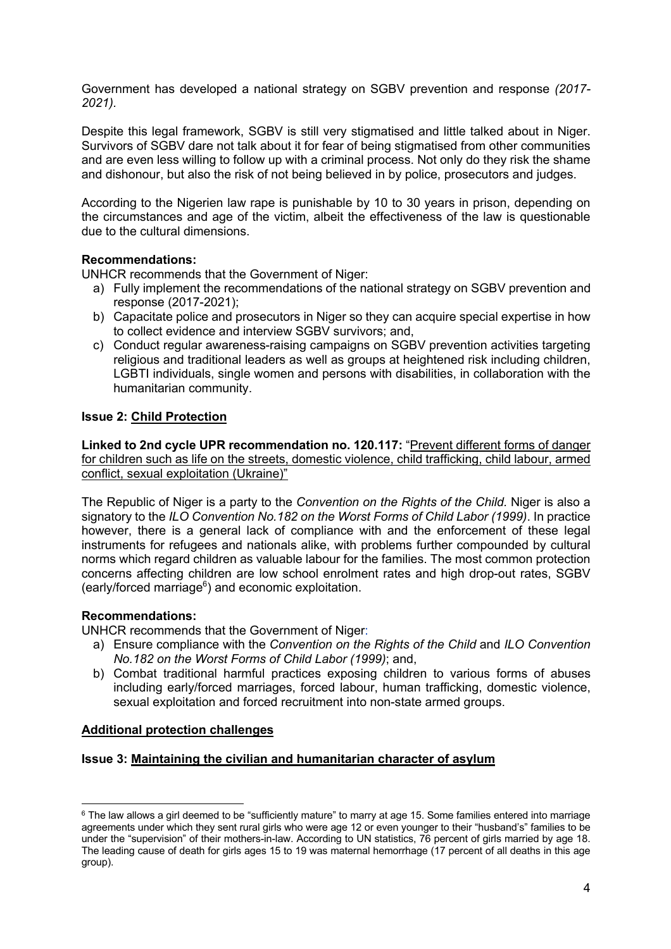Government has developed a national strategy on SGBV prevention and response *(2017- 2021).*

Despite this legal framework, SGBV is still very stigmatised and little talked about in Niger. Survivors of SGBV dare not talk about it for fear of being stigmatised from other communities and are even less willing to follow up with a criminal process. Not only do they risk the shame and dishonour, but also the risk of not being believed in by police, prosecutors and judges.

According to the Nigerien law rape is punishable by 10 to 30 years in prison, depending on the circumstances and age of the victim, albeit the effectiveness of the law is questionable due to the cultural dimensions.

### **Recommendations:**

UNHCR recommends that the Government of Niger:

- a) Fully implement the recommendations of the national strategy on SGBV prevention and response (2017-2021);
- b) Capacitate police and prosecutors in Niger so they can acquire special expertise in how to collect evidence and interview SGBV survivors; and,
- c) Conduct regular awareness-raising campaigns on SGBV prevention activities targeting religious and traditional leaders as well as groups at heightened risk including children, LGBTI individuals, single women and persons with disabilities, in collaboration with the humanitarian community.

## **Issue 2: Child Protection**

**Linked to 2nd cycle UPR recommendation no. 120.117:** "Prevent different forms of danger for children such as life on the streets, domestic violence, child trafficking, child labour, armed conflict, sexual exploitation (Ukraine)"

The Republic of Niger is a party to the *Convention on the Rights of the Child.* Niger is also a signatory to the *ILO Convention No.182 on the Worst Forms of Child Labor (1999)*. In practice however, there is a general lack of compliance with and the enforcement of these legal instruments for refugees and nationals alike, with problems further compounded by cultural norms which regard children as valuable labour for the families. The most common protection concerns affecting children are low school enrolment rates and high drop-out rates, SGBV (early/forced marriage<sup>6</sup>) and economic exploitation.

### **Recommendations:**

UNHCR recommends that the Government of Niger:

- a) Ensure compliance with the *Convention on the Rights of the Child* and *ILO Convention No.182 on the Worst Forms of Child Labor (1999)*; and,
- b) Combat traditional harmful practices exposing children to various forms of abuses including early/forced marriages, forced labour, human trafficking, domestic violence, sexual exploitation and forced recruitment into non-state armed groups.

### **Additional protection challenges**

### **Issue 3: Maintaining the civilian and humanitarian character of asylum**

<sup>&</sup>lt;sup>6</sup> The law allows a girl deemed to be "sufficiently mature" to marry at age 15. Some families entered into marriage agreements under which they sent rural girls who were age 12 or even younger to their "husband's" families to be under the "supervision" of their mothers-in-law. According to UN statistics, 76 percent of girls married by age 18. The leading cause of death for girls ages 15 to 19 was maternal hemorrhage (17 percent of all deaths in this age group).